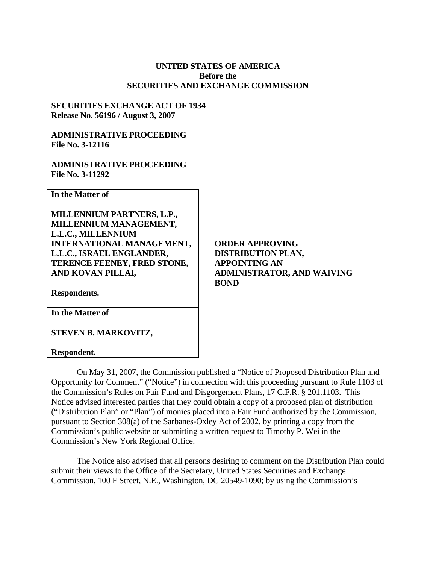## **UNITED STATES OF AMERICA Before the SECURITIES AND EXCHANGE COMMISSION**

## **SECURITIES EXCHANGE ACT OF 1934 Release No. 56196 / August 3, 2007**

## **ADMINISTRATIVE PROCEEDING File No. 3-12116**

## **ADMINISTRATIVE PROCEEDING File No. 3-11292**

**In the Matter of** 

**MILLENNIUM PARTNERS, L.P., MILLENNIUM MANAGEMENT, L.L.C., MILLENNIUM INTERNATIONAL MANAGEMENT, L.L.C., ISRAEL ENGLANDER, TERENCE FEENEY, FRED STONE, AND KOVAN PILLAI,** 

**ORDER APPROVING DISTRIBUTION PLAN, APPOINTING AN ADMINISTRATOR, AND WAIVING BOND** 

**Respondents.** 

**In the Matter of** 

**STEVEN B. MARKOVITZ,**

**Respondent.** 

On May 31, 2007, the Commission published a "Notice of Proposed Distribution Plan and Opportunity for Comment" ("Notice") in connection with this proceeding pursuant to Rule 1103 of the Commission's Rules on Fair Fund and Disgorgement Plans, 17 C.F.R. § 201.1103. This Notice advised interested parties that they could obtain a copy of a proposed plan of distribution ("Distribution Plan" or "Plan") of monies placed into a Fair Fund authorized by the Commission, pursuant to Section 308(a) of the Sarbanes-Oxley Act of 2002, by printing a copy from the Commission's public website or submitting a written request to Timothy P. Wei in the Commission's New York Regional Office.

The Notice also advised that all persons desiring to comment on the Distribution Plan could submit their views to the Office of the Secretary, United States Securities and Exchange Commission, 100 F Street, N.E., Washington, DC 20549-1090; by using the Commission's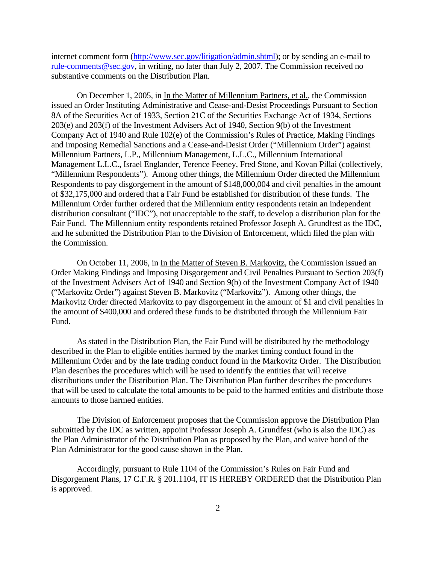internet comment form (http://www.sec.gov/litigation/admin.shtml); or by sending an e-mail to rule-comments@sec.gov, in writing, no later than July 2, 2007. The Commission received no substantive comments on the Distribution Plan.

On December 1, 2005, in In the Matter of Millennium Partners, et al., the Commission issued an Order Instituting Administrative and Cease-and-Desist Proceedings Pursuant to Section 8A of the Securities Act of 1933, Section 21C of the Securities Exchange Act of 1934, Sections 203(e) and 203(f) of the Investment Advisers Act of 1940, Section 9(b) of the Investment Company Act of 1940 and Rule 102(e) of the Commission's Rules of Practice, Making Findings and Imposing Remedial Sanctions and a Cease-and-Desist Order ("Millennium Order") against Millennium Partners, L.P., Millennium Management, L.L.C., Millennium International Management L.L.C., Israel Englander, Terence Feeney, Fred Stone, and Kovan Pillai (collectively, "Millennium Respondents"). Among other things, the Millennium Order directed the Millennium Respondents to pay disgorgement in the amount of \$148,000,004 and civil penalties in the amount of \$32,175,000 and ordered that a Fair Fund be established for distribution of these funds. The Millennium Order further ordered that the Millennium entity respondents retain an independent distribution consultant ("IDC"), not unacceptable to the staff, to develop a distribution plan for the Fair Fund. The Millennium entity respondents retained Professor Joseph A. Grundfest as the IDC, and he submitted the Distribution Plan to the Division of Enforcement, which filed the plan with the Commission.

On October 11, 2006, in In the Matter of Steven B. Markovitz, the Commission issued an Order Making Findings and Imposing Disgorgement and Civil Penalties Pursuant to Section 203(f) of the Investment Advisers Act of 1940 and Section 9(b) of the Investment Company Act of 1940 ("Markovitz Order") against Steven B. Markovitz ("Markovitz"). Among other things, the Markovitz Order directed Markovitz to pay disgorgement in the amount of \$1 and civil penalties in the amount of \$400,000 and ordered these funds to be distributed through the Millennium Fair Fund.

As stated in the Distribution Plan, the Fair Fund will be distributed by the methodology described in the Plan to eligible entities harmed by the market timing conduct found in the Millennium Order and by the late trading conduct found in the Markovitz Order. The Distribution Plan describes the procedures which will be used to identify the entities that will receive distributions under the Distribution Plan. The Distribution Plan further describes the procedures that will be used to calculate the total amounts to be paid to the harmed entities and distribute those amounts to those harmed entities.

The Division of Enforcement proposes that the Commission approve the Distribution Plan submitted by the IDC as written, appoint Professor Joseph A. Grundfest (who is also the IDC) as the Plan Administrator of the Distribution Plan as proposed by the Plan, and waive bond of the Plan Administrator for the good cause shown in the Plan.

Accordingly, pursuant to Rule 1104 of the Commission's Rules on Fair Fund and Disgorgement Plans, 17 C.F.R. § 201.1104, IT IS HEREBY ORDERED that the Distribution Plan is approved.